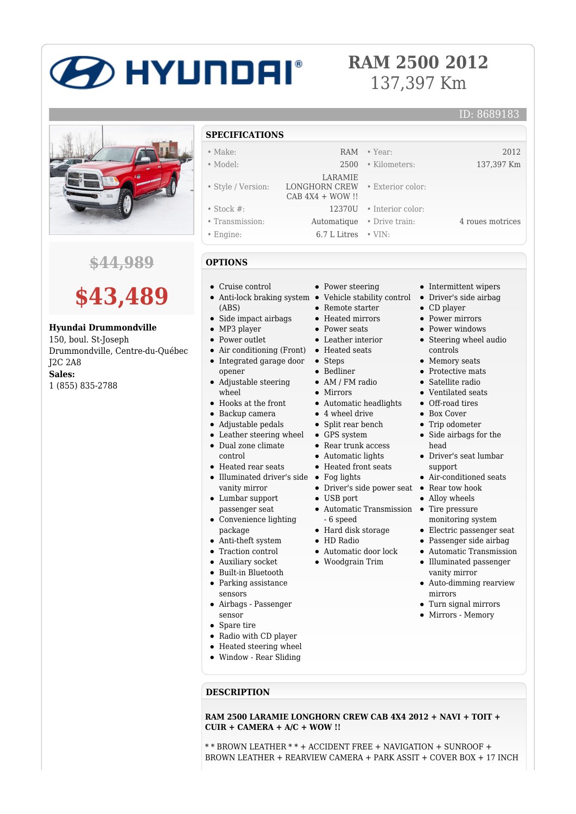# D HYUNDAI®

# **RAM 2500 2012** 137,397 Km

• Exterior color:

# **\$44,989**



## **Hyundai Drummondville**

150, boul. St-Joseph Drummondville, Centre-du-Québec J2C 2A8 **Sales:** 1 (855) 835-2788

### **SPECIFICATIONS**

- Make: RAM Year: 2012
- Model: 2500 Kilometers: 137,397 Km
- Style / Version:
- Stock #: 12370U Interior color:
- Transmission: Automatique Drive train: 4 roues motrices
- Engine: 6.7 L Litres VIN:
- **OPTIONS**
- Cruise control
- Anti-lock braking system Vehicle stability control Driver's side airbag (ABS)
- Side impact airbags
- MP3 player
- Power outlet
- Air conditioning (Front) Heated seats  $\bullet$ Integrated garage door
- Adjustable steering  $\bullet$ wheel
- Hooks at the front
- Backup camera
- Adjustable pedals
- Leather steering wheel GPS system
- Dual zone climate
- control
- Heated rear seats Illuminated driver's side Fog lights vanity mirror
- Lumbar support
- passenger seat Convenience lighting package
- Anti-theft system
- Traction control
- Auxiliary socket
- Built-in Bluetooth
- Parking assistance
- sensors
- Airbags Passenger sensor
- Spare tire
- Radio with CD player
- Heated steering wheel
- Window Rear Sliding
- **DESCRIPTION**

**RAM 2500 LARAMIE LONGHORN CREW CAB 4X4 2012 + NAVI + TOIT + CUIR + CAMERA + A/C + WOW !!**

\* \* BROWN LEATHER \* \* + ACCIDENT FREE + NAVIGATION + SUNROOF + BROWN LEATHER + REARVIEW CAMERA + PARK ASSIT + COVER BOX + 17 INCH

| Power steering |  |
|----------------|--|

- 
- Remote starter
- Heated mirrors
- Power seats

LARAMIE

LONGHORN CREW CAB 4X4 + WOW !!

- Leather interior
- 
- Steps
- Bedliner
- AM / FM radio
- Mirrors
- Automatic headlights
- 4 wheel drive
- Split rear bench
- 
- Rear trunk access
- Automatic lights
- Heated front seats
- 
- 
- Driver's side power seat Rear tow hook
- USB port Automatic Transmission • Tire pressure - 6 speed
- Hard disk storage
- HD Radio
- Automatic door lock
- Woodgrain Trim
- 

• Steering wheel audio controls • Memory seats • Protective mats

• Intermittent wipers

CD player • Power mirrors • Power windows

ID: 8689183

- Satellite radio
- Ventilated seats
- Off-road tires
- Box Cover
- Trip odometer
- Side airbags for the head
- Driver's seat lumbar support
- Air-conditioned seats
- 
- Alloy wheels
- monitoring system
- Electric passenger seat
- Passenger side airbag
- Automatic Transmission  $\bullet$ Illuminated passenger
- vanity mirror Auto-dimming rearview mirrors
- Turn signal mirrors
- Mirrors Memory
- 
- 
- 
- 
- 
- 
- 
- opener